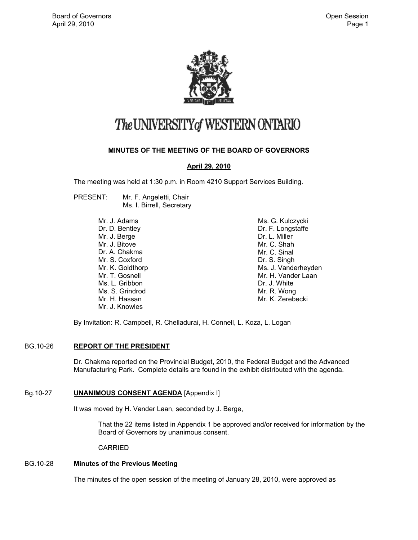

# The UNIVERSITY of WESTERN ONTARIO

# **MINUTES OF THE MEETING OF THE BOARD OF GOVERNORS**

# **April 29, 2010**

The meeting was held at 1:30 p.m. in Room 4210 Support Services Building.

PRESENT: Mr. F. Angeletti, Chair Ms. I. Birrell, Secretary

> Mr. J. Adams Dr. D. Bentley Mr. J. Berge Mr. J. Bitove Dr. A. Chakma Mr. S. Coxford Mr. K. Goldthorp Mr. T. Gosnell Ms. L. Gribbon Ms. S. Grindrod Mr. H. Hassan Mr. J. Knowles

Ms. G. Kulczycki Dr. F. Longstaffe Dr. L. Miller Mr. C. Shah Mr. C. Sinal Dr. S. Singh Ms. J. Vanderheyden Mr. H. Vander Laan Dr. J. White Mr. R. Wong Mr. K. Zerebecki

By Invitation: R. Campbell, R. Chelladurai, H. Connell, L. Koza, L. Logan

# BG.10-26 **REPORT OF THE PRESIDENT**

Dr. Chakma reported on the Provincial Budget, 2010, the Federal Budget and the Advanced Manufacturing Park. Complete details are found in the exhibit distributed with the agenda.

# Bg.10-27 **UNANIMOUS CONSENT AGENDA** [Appendix I]

It was moved by H. Vander Laan, seconded by J. Berge,

That the 22 items listed in Appendix 1 be approved and/or received for information by the Board of Governors by unanimous consent.

CARRIED

# BG.10-28 **Minutes of the Previous Meeting**

The minutes of the open session of the meeting of January 28, 2010, were approved as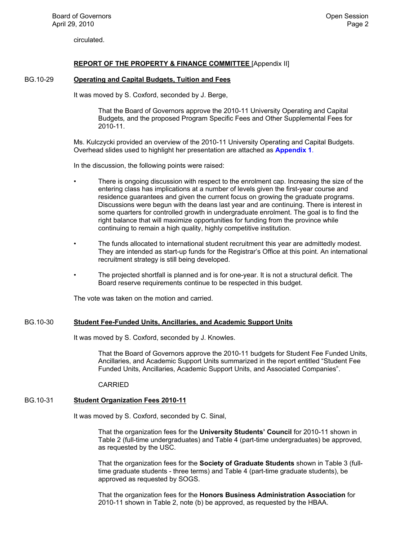circulated.

# **REPORT OF THE PROPERTY & FINANCE COMMITTEE** [Appendix II]

# BG.10-29 **Operating and Capital Budgets, Tuition and Fees**

It was moved by S. Coxford, seconded by J. Berge,

That the Board of Governors approve the 2010-11 University Operating and Capital Budgets*,* and the proposed Program Specific Fees and Other Supplemental Fees for 2010-11.

Ms. Kulczycki provided an overview of the 2010-11 University Operating and Capital Budgets. Overhead slides used to highlight her presentation are attached as **[Appendix 1](#page-4-0)**.

In the discussion, the following points were raised:

- There is ongoing discussion with respect to the enrolment cap. Increasing the size of the entering class has implications at a number of levels given the first-year course and residence guarantees and given the current focus on growing the graduate programs. Discussions were begun with the deans last year and are continuing. There is interest in some quarters for controlled growth in undergraduate enrolment. The goal is to find the right balance that will maximize opportunities for funding from the province while continuing to remain a high quality, highly competitive institution.
- The funds allocated to international student recruitment this year are admittedly modest. They are intended as start-up funds for the Registrar's Office at this point. An international recruitment strategy is still being developed.
- The projected shortfall is planned and is for one-year. It is not a structural deficit. The Board reserve requirements continue to be respected in this budget.

The vote was taken on the motion and carried.

# BG.10-30 **Student Fee-Funded Units, Ancillaries, and Academic Support Units**

It was moved by S. Coxford, seconded by J. Knowles.

That the Board of Governors approve the 2010-11 budgets for Student Fee Funded Units, Ancillaries, and Academic Support Units summarized in the report entitled "Student Fee Funded Units, Ancillaries, Academic Support Units, and Associated Companies".

CARRIED

# BG.10-31 **Student Organization Fees 2010-11**

It was moved by S. Coxford, seconded by C. Sinal,

That the organization fees for the **University Students' Council** for 2010-11 shown in Table 2 (full-time undergraduates) and Table 4 (part-time undergraduates) be approved, as requested by the USC.

That the organization fees for the **Society of Graduate Students** shown in Table 3 (fulltime graduate students - three terms) and Table 4 (part-time graduate students), be approved as requested by SOGS.

That the organization fees for the **Honors Business Administration Association** for 2010-11 shown in Table 2, note (b) be approved, as requested by the HBAA.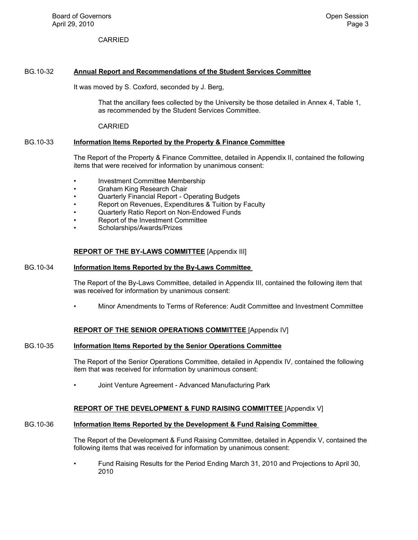CARRIED

## BG.10-32 **Annual Report and Recommendations of the Student Services Committee**

It was moved by S. Coxford, seconded by J. Berg,

That the ancillary fees collected by the University be those detailed in Annex 4, Table 1, as recommended by the Student Services Committee.

CARRIED

#### BG.10-33 **Information Items Reported by the Property & Finance Committee**

The Report of the Property & Finance Committee, detailed in Appendix II, contained the following items that were received for information by unanimous consent:

- Investment Committee Membership
- Graham King Research Chair
- Quarterly Financial Report Operating Budgets
- Report on Revenues, Expenditures & Tuition by Faculty
- Quarterly Ratio Report on Non-Endowed Funds
- Report of the Investment Committee
- Scholarships/Awards/Prizes

#### **REPORT OF THE BY-LAWS COMMITTEE** [Appendix III]

#### BG.10-34 **Information Items Reported by the By-Laws Committee**

The Report of the By-Laws Committee, detailed in Appendix III, contained the following item that was received for information by unanimous consent:

• Minor Amendments to Terms of Reference: Audit Committee and Investment Committee

#### **REPORT OF THE SENIOR OPERATIONS COMMITTEE** [Appendix IV]

#### BG.10-35 **Information Items Reported by the Senior Operations Committee**

The Report of the Senior Operations Committee, detailed in Appendix IV, contained the following item that was received for information by unanimous consent:

• Joint Venture Agreement - Advanced Manufacturing Park

## **REPORT OF THE DEVELOPMENT & FUND RAISING COMMITTEE** [Appendix V]

# BG.10-36 **Information Items Reported by the Development & Fund Raising Committee**

The Report of the Development & Fund Raising Committee, detailed in Appendix V, contained the following items that was received for information by unanimous consent:

• Fund Raising Results for the Period Ending March 31, 2010 and Projections to April 30, 2010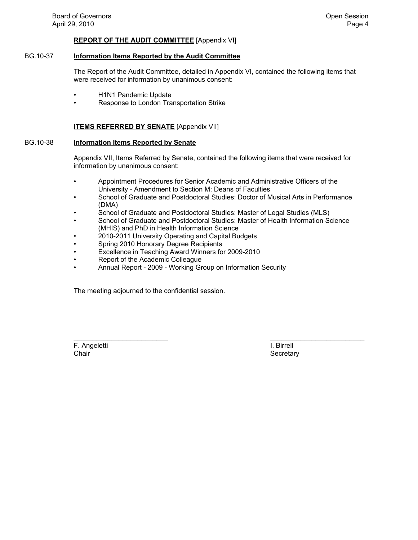## **REPORT OF THE AUDIT COMMITTEE** [Appendix VI]

## BG.10-37 **Information Items Reported by the Audit Committee**

The Report of the Audit Committee, detailed in Appendix VI, contained the following items that were received for information by unanimous consent:

- H1N1 Pandemic Update
- Response to London Transportation Strike

#### **ITEMS REFERRED BY SENATE** [Appendix VII]

## BG.10-38 **Information Items Reported by Senate**

Appendix VII, Items Referred by Senate, contained the following items that were received for information by unanimous consent:

- Appointment Procedures for Senior Academic and Administrative Officers of the University - Amendment to Section M: Deans of Faculties
- School of Graduate and Postdoctoral Studies: Doctor of Musical Arts in Performance (DMA)
- School of Graduate and Postdoctoral Studies: Master of Legal Studies (MLS)
- School of Graduate and Postdoctoral Studies: Master of Health Information Science (MHIS) and PhD in Health Information Science
- 2010-2011 University Operating and Capital Budgets
- Spring 2010 Honorary Degree Recipients
- Excellence in Teaching Award Winners for 2009-2010
- Report of the Academic Colleague
- Annual Report 2009 Working Group on Information Security

The meeting adjourned to the confidential session.

F. Angeletti I. Birrell Chair Secretary Chair Secretary Secretary Secretary Secretary Secretary Secretary

\_\_\_\_\_\_\_\_\_\_\_\_\_\_\_\_\_\_\_\_\_\_\_\_\_ \_\_\_\_\_\_\_\_\_\_\_\_\_\_\_\_\_\_\_\_\_\_\_\_\_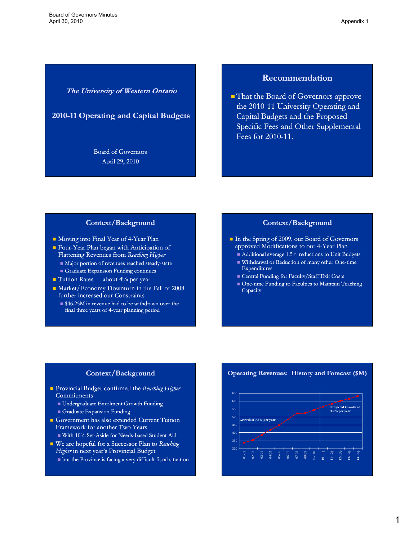# **The University of Western Ontario**

**2010-11 Operating and Capital Budgets 11** 

Board of Governors April 29, 2010

# **Recommendation**

■ That the Board of Governors approve the 2010-11 University Operating and Capital Budgets and the Proposed Specific Fees and Other Supplemental Fees for 2010-11.

#### **Context/Background**

- Moving into Final Year of 4-Year Plan
- Four-Year Plan began with Anticipation of Flattening Revenues from *Reaching Higher*
	- $\blacksquare$  Major portion of revenues reached steady-state  $\blacksquare$  Graduate Expansion Funding continues
- $\blacksquare$  Tuition Rates -- about 4% per year
- Market/Economy Downturn in the Fall of 2008 further increased our Constraints
	- \$46.25M in revenue had to be withdrawn over the final three years of 4-year planning period

# **Context/Background**

- In the Spring of 2009, our Board of Governors approved Modifications to our 4-Year Plan
	- Additional average 1.5% reductions to Unit Budgets
	- Withdrawal or Reduction of many other One-time Expenditures
	- Central Funding for Faculty/Staff Exit Costs
	- One-time Funding to Faculties to Maintain Teaching Capacity

#### **Context/Background**

- Provincial Budget confirmed the *Reaching Higher* **Commitments** 
	- Undergraduate Enrolment Growth Funding
	- Graduate Expansion Funding
- Government has also extended Current Tuition Framework for another Two Years
	- $\blacksquare$  With 10% Set-Aside for Needs-based Student Aid
- We are hopeful for a Successor Plan to *Reaching Higher* in next year's Provincial Budget
	- but the Province is facing a very difficult fiscal situation

#### **Operating Revenues: History and Forecast (\$M)**

<span id="page-4-0"></span>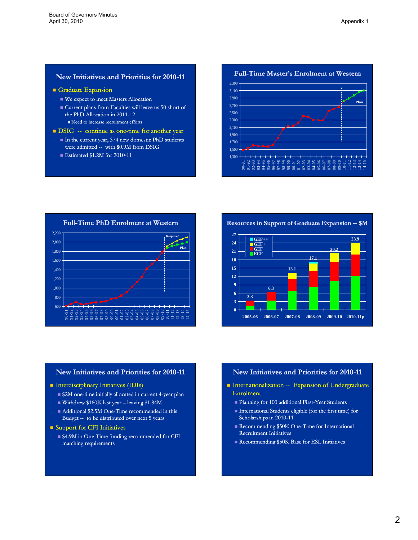# **New Initiatives and Priorities for 2010 2010-11**

- Graduate Expansion
	- We expect to meet Masters Allocation
	- Current plans from Faculties will leave us 50 short of the PhD Allocation in 2011-12

Need to increase recruitment efforts

- $\blacksquare$  DSIG -- continue as one-time for another year
	- In the current year, 374 new domestic PhD students were admitted -- with \$0.9M from DSIG
	- Estimated  $$1.2M$  for 2010-11

**Full-Time Master's Enrolment at Western** 2 300 2,300 $2.500$ 2,700 2,900 3,100 3,300 **Plan** 1,300 1,500 1,700 1,900 2,100 90-91 91-92 92-93 93-94 94-95 95-96 96-97 97-98 98-99 99-00 00-01 01-02 02-03 03-04 04-05 05-06 06-07 07-08 08-09 09-10 10-11 11-12 12-13 13-14 14-15





# **New Initiatives and Priorities for 2010 2010-11**

#### **Interdisciplinary Initiatives (IDIs)**

- $\blacksquare$ \$2M one-time initially allocated in current 4-year plan
- Withdrew \$160K last year leaving \$1.84M
- $\blacksquare$  Additional \$2.5M One-Time recommended in this Budget -- to be distributed over next 5 years

#### **Support for CFI Initiatives**

■ \$4.9M in One-Time funding recommended for CFI matching requirements

# **New Initiatives and Priorities for 2010 2010-11**

- Internationalization -- Expansion of Undergraduate Enrolment
	- **Planning for 100 additional First-Year Students**
	- International Students eligible (for the first time) for Scholarships in 2010-11
	- Recommending  $$50K$  One-Time for International Recruitment Initiatives
	- Recommending \$50K Base for ESL Initiatives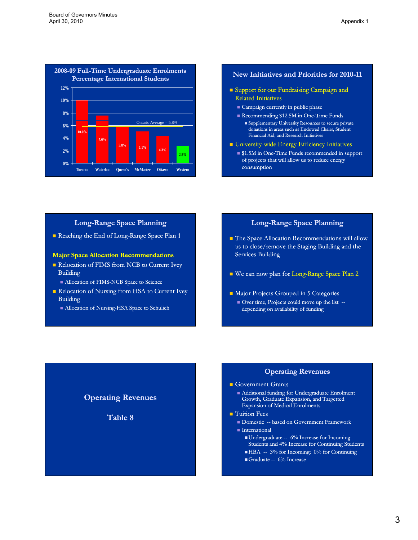

### **New Initiatives and Priorities for 2010 2010-11**

- **Support for our Fundraising Campaign and** Related Initiatives
	- Campaign currently in public phase
	- Recommending  $$12.5M$  in One-Time Funds
		- Supplementary University Resources to secure private donations in areas such as Endowed Chairs, Student Financial Aid, and Research Initiatives
- **University-wide Energy Efficiency Initiatives** 
	- $\blacksquare$  \$1.5M in One-Time Funds recommended in support of projects that will allow us to reduce energy consumption

#### **Long-Range Space Planning**

Reaching the End of Long-Range Space Plan 1

## **Major Space Allocation Recommendations**

- Relocation of FIMS from NCB to Current Ivey Building
	- Allocation of FIMS-NCB Space to Science
- Relocation of Nursing from HSA to Current Ivey Building

**Operating Revenues**

**Table 8 Table 8**

Allocation of Nursing-HSA Space to Schulich

# **Long-Range Space Planning**

- **The Space Allocation Recommendations will allow** us to close/remove the Staging Building and the Services Building
- We can now plan for Long-Range Space Plan 2
- **Major Projects Grouped in 5 Categories** Over time, Projects could move up the list -depending on availability of funding

# **Operating Revenues**

#### Government Grants

- Additional funding for Undergraduate Enrolment Growth, Graduate Expansion, and Targetted Expansion of Medical Enrolments
- $\blacksquare$  Tuition Fees
	- **Domestic -- based on Government Framework**
	- $\blacksquare$ International
		- Undergraduate -- 6% Increase for Incoming Students and 4% Increase for Continuing Students
		- $\blacksquare$  HBA -- 3% for Incoming; 0% for Continuing
		- Graduate  $-6%$  Increase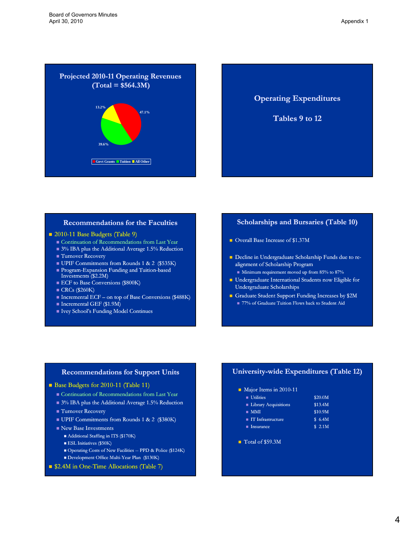



**Tables 9 to 12 Tables 9 to**

# **Recommendations for the Faculties**

#### 2010-11 Base Budgets (Table 9)

- Continuation of Recommendations from Last Year
- 3% IBA plus the Additional Average 1.5% Reduction
- Turnover Recovery
- UPIF Commitments from Rounds 1 & 2 (\$535K)
- Program-Expansion Funding and Tuition-based Investments (\$2.2M)
- **ECF** to Base Conversions (\$800K)
- $\blacksquare$  CRCs (\$260K)
- $\blacksquare$  Incremental ECF on top of Base Conversions (\$488K)
- Incremental GEF (\$1.9M)
- Ivey School's Funding Model Continues

### **Scholarships and Bursaries (Table 10)**

- Overall Base Increase of \$1.37M
- Decline in Undergraduate Scholarship Funds due to realignment of Scholarship Program
	- $\blacksquare$  Minimum requirement moved up from 85% to 87%
- **Undergraduate International Students now Eligible for** Undergraduate Scholarships
- Graduate Student Support Funding Increases by \$2M ■ 77% of Graduate Tuition Flows back to Student Aid

#### **Recommendations for Support Units**

- Base Budgets for 2010-11 (Table 11)
	- **Continuation of Recommendations from Last Year**
	- 3% IBA plus the Additional Average 1.5% Reduction
	- Turnover Recovery
	- UPIF Commitments from Rounds 1 & 2 (\$380K)
	- New Base Investments
		- Additional Staffing in ITS (\$170K)
		- **ESL Initiatives (\$50K)**
		- Operating Costs of New Facilities -- PPD & Police (\$124K)
	- Development Office Multi-Year Plan (\$130K)
- \$2.4M in One-Time Allocations (Table 7)

# **University University-wide Expenditures (Table 12) wide**

- Major Items in 2010-11
	- $\blacksquare$  Utilities  $$20.0M$ Library Acquisitions \$13.4M
	- $\blacksquare$  MMI  $\blacksquare$  MMI  $\blacksquare$  $\blacksquare$  IT Infrastructure  $\blacksquare$  6.4M
	- $\blacksquare$  Insurance  $\blacksquare$  3 2.1M
- Total of \$59.3M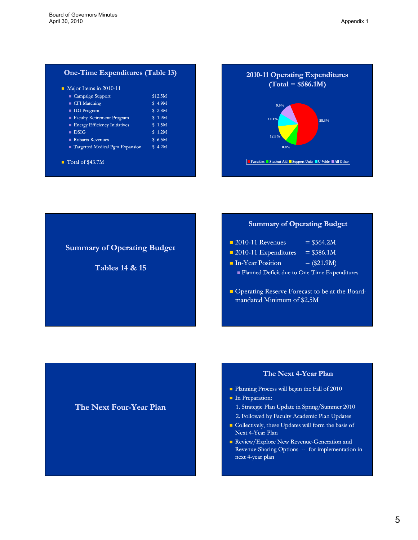# **One-Time Expenditures (Table 13)**

| $\blacksquare$ Campaign Support      | \$12.5M |
|--------------------------------------|---------|
| ■ CFI Matching                       | \$ 4.9M |
| <b>IDI</b> Program                   | \$ 2.8M |
| Faculty Retirement Program           | \$1.9M  |
| <b>Energy Efficiency Initiatives</b> | \$1.5M  |
| $\blacksquare$ DSIG                  | \$1.2M  |
| Robarts Revenues                     | \$ 6.5M |
| Targetted Medical Pgm Expansion      | \$4.2M  |



# **Summary of Operating Budget**

**Tables 14 & 15 Tables 14 &**

# **Summary of Operating Budget**

| $\blacksquare$ 2010-11 Revenues                | $= $564.2M$   |  |
|------------------------------------------------|---------------|--|
| $\blacksquare$ 2010-11 Expenditures            | $= $586.1M$   |  |
| la In-Year Position                            | $=$ (\$21.9M) |  |
| • Planned Deficit due to One-Time Expenditures |               |  |
|                                                |               |  |

Operating Reserve Forecast to be at the Boardmandated Minimum of \$2.5M

# **The Next Four-Year Plan**

# **The Next 4-Year Plan**

- Planning Process will begin the Fall of 2010
- **In Preparation:** 
	- 1. Strategic Plan Update in Spring/Summer 2010 2. Followed by Faculty Academic Plan Updates
- Collectively, these Updates will form the basis of Next 4-Year Plan
- Review/Explore New Revenue-Generation and Revenue-Sharing Options -- for implementation in next 4-year plan